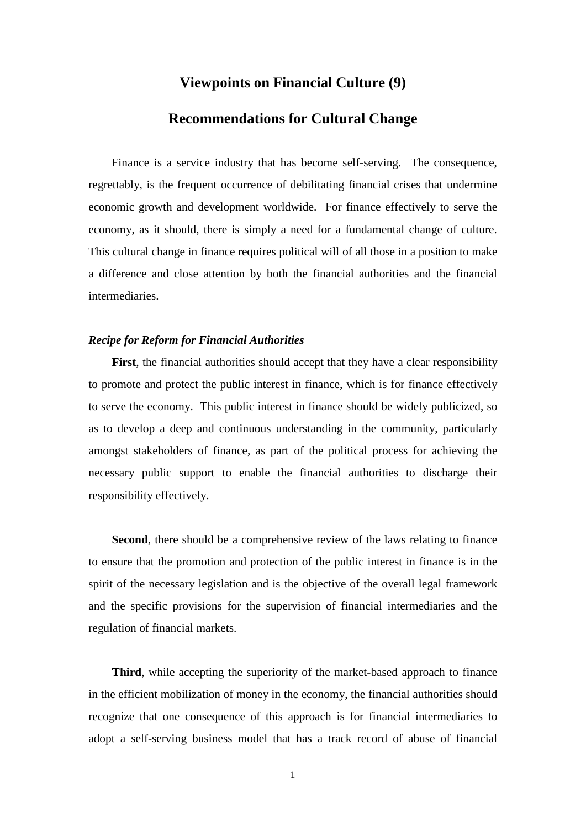## **Viewpoints on Financial Culture (9)**

## **Recommendations for Cultural Change**

Finance is a service industry that has become self-serving. The consequence, regrettably, is the frequent occurrence of debilitating financial crises that undermine economic growth and development worldwide. For finance effectively to serve the economy, as it should, there is simply a need for a fundamental change of culture. This cultural change in finance requires political will of all those in a position to make a difference and close attention by both the financial authorities and the financial intermediaries.

## *Recipe for Reform for Financial Authorities*

First, the financial authorities should accept that they have a clear responsibility to promote and protect the public interest in finance, which is for finance effectively to serve the economy. This public interest in finance should be widely publicized, so as to develop a deep and continuous understanding in the community, particularly amongst stakeholders of finance, as part of the political process for achieving the necessary public support to enable the financial authorities to discharge their responsibility effectively.

**Second**, there should be a comprehensive review of the laws relating to finance to ensure that the promotion and protection of the public interest in finance is in the spirit of the necessary legislation and is the objective of the overall legal framework and the specific provisions for the supervision of financial intermediaries and the regulation of financial markets.

**Third**, while accepting the superiority of the market-based approach to finance in the efficient mobilization of money in the economy, the financial authorities should recognize that one consequence of this approach is for financial intermediaries to adopt a self-serving business model that has a track record of abuse of financial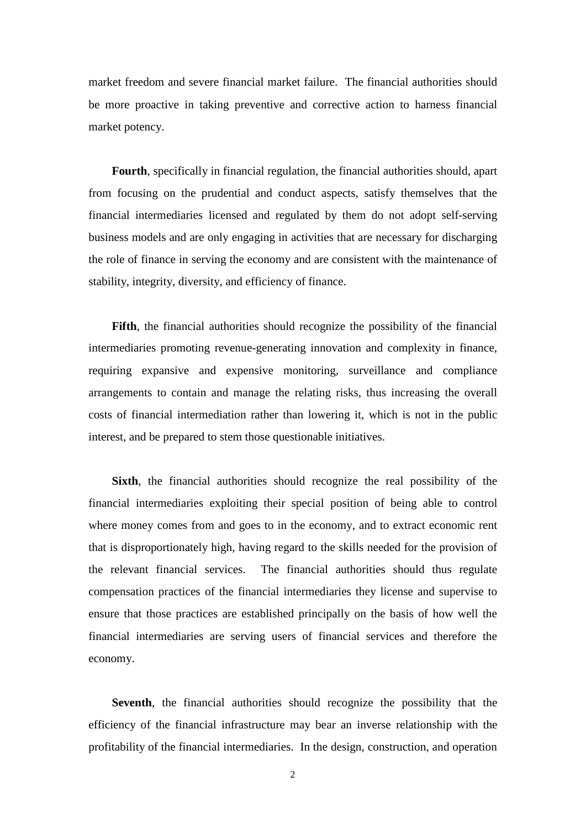market freedom and severe financial market failure. The financial authorities should be more proactive in taking preventive and corrective action to harness financial market potency.

**Fourth**, specifically in financial regulation, the financial authorities should, apart from focusing on the prudential and conduct aspects, satisfy themselves that the financial intermediaries licensed and regulated by them do not adopt self-serving business models and are only engaging in activities that are necessary for discharging the role of finance in serving the economy and are consistent with the maintenance of stability, integrity, diversity, and efficiency of finance.

**Fifth**, the financial authorities should recognize the possibility of the financial intermediaries promoting revenue-generating innovation and complexity in finance, requiring expansive and expensive monitoring, surveillance and compliance arrangements to contain and manage the relating risks, thus increasing the overall costs of financial intermediation rather than lowering it, which is not in the public interest, and be prepared to stem those questionable initiatives.

**Sixth**, the financial authorities should recognize the real possibility of the financial intermediaries exploiting their special position of being able to control where money comes from and goes to in the economy, and to extract economic rent that is disproportionately high, having regard to the skills needed for the provision of the relevant financial services. The financial authorities should thus regulate compensation practices of the financial intermediaries they license and supervise to ensure that those practices are established principally on the basis of how well the financial intermediaries are serving users of financial services and therefore the economy.

**Seventh**, the financial authorities should recognize the possibility that the efficiency of the financial infrastructure may bear an inverse relationship with the profitability of the financial intermediaries. In the design, construction, and operation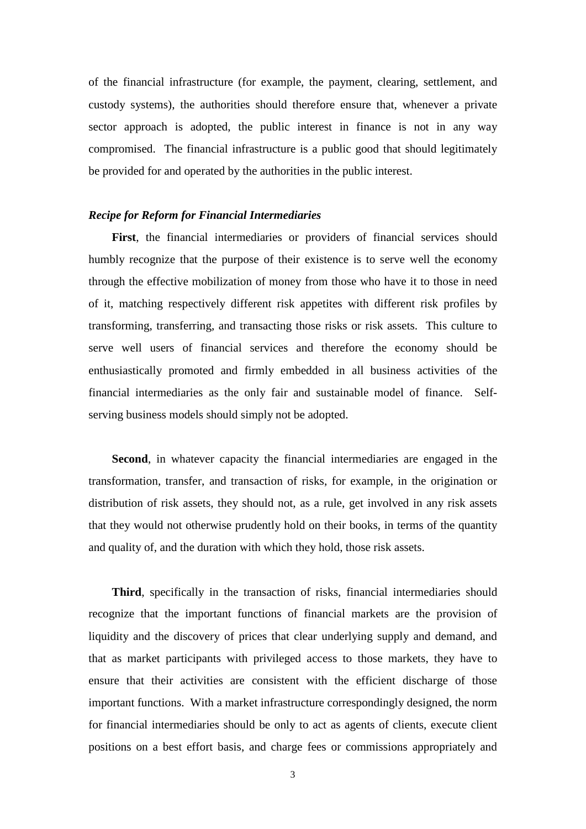of the financial infrastructure (for example, the payment, clearing, settlement, and custody systems), the authorities should therefore ensure that, whenever a private sector approach is adopted, the public interest in finance is not in any way compromised. The financial infrastructure is a public good that should legitimately be provided for and operated by the authorities in the public interest.

## *Recipe for Reform for Financial Intermediaries*

**First**, the financial intermediaries or providers of financial services should humbly recognize that the purpose of their existence is to serve well the economy through the effective mobilization of money from those who have it to those in need of it, matching respectively different risk appetites with different risk profiles by transforming, transferring, and transacting those risks or risk assets. This culture to serve well users of financial services and therefore the economy should be enthusiastically promoted and firmly embedded in all business activities of the financial intermediaries as the only fair and sustainable model of finance. Selfserving business models should simply not be adopted.

**Second**, in whatever capacity the financial intermediaries are engaged in the transformation, transfer, and transaction of risks, for example, in the origination or distribution of risk assets, they should not, as a rule, get involved in any risk assets that they would not otherwise prudently hold on their books, in terms of the quantity and quality of, and the duration with which they hold, those risk assets.

**Third**, specifically in the transaction of risks, financial intermediaries should recognize that the important functions of financial markets are the provision of liquidity and the discovery of prices that clear underlying supply and demand, and that as market participants with privileged access to those markets, they have to ensure that their activities are consistent with the efficient discharge of those important functions. With a market infrastructure correspondingly designed, the norm for financial intermediaries should be only to act as agents of clients, execute client positions on a best effort basis, and charge fees or commissions appropriately and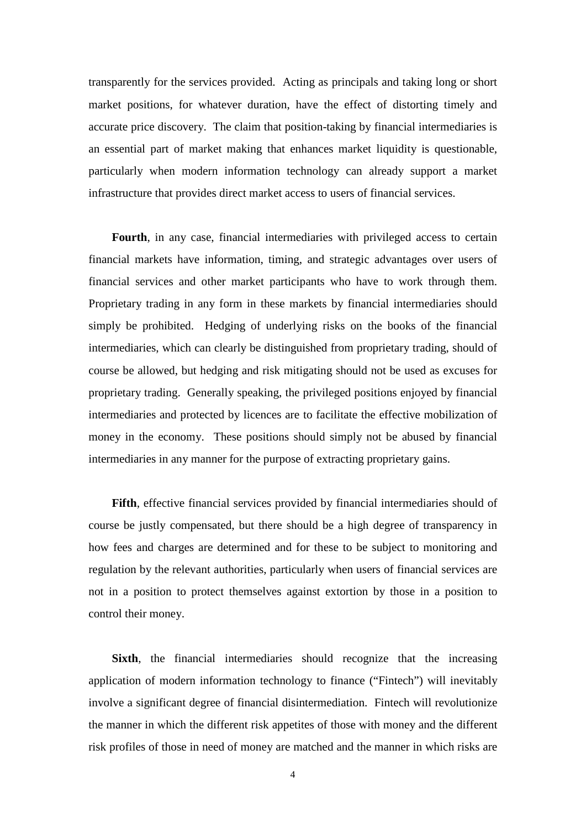transparently for the services provided. Acting as principals and taking long or short market positions, for whatever duration, have the effect of distorting timely and accurate price discovery. The claim that position-taking by financial intermediaries is an essential part of market making that enhances market liquidity is questionable, particularly when modern information technology can already support a market infrastructure that provides direct market access to users of financial services.

**Fourth**, in any case, financial intermediaries with privileged access to certain financial markets have information, timing, and strategic advantages over users of financial services and other market participants who have to work through them. Proprietary trading in any form in these markets by financial intermediaries should simply be prohibited. Hedging of underlying risks on the books of the financial intermediaries, which can clearly be distinguished from proprietary trading, should of course be allowed, but hedging and risk mitigating should not be used as excuses for proprietary trading. Generally speaking, the privileged positions enjoyed by financial intermediaries and protected by licences are to facilitate the effective mobilization of money in the economy. These positions should simply not be abused by financial intermediaries in any manner for the purpose of extracting proprietary gains.

**Fifth**, effective financial services provided by financial intermediaries should of course be justly compensated, but there should be a high degree of transparency in how fees and charges are determined and for these to be subject to monitoring and regulation by the relevant authorities, particularly when users of financial services are not in a position to protect themselves against extortion by those in a position to control their money.

**Sixth**, the financial intermediaries should recognize that the increasing application of modern information technology to finance ("Fintech") will inevitably involve a significant degree of financial disintermediation. Fintech will revolutionize the manner in which the different risk appetites of those with money and the different risk profiles of those in need of money are matched and the manner in which risks are